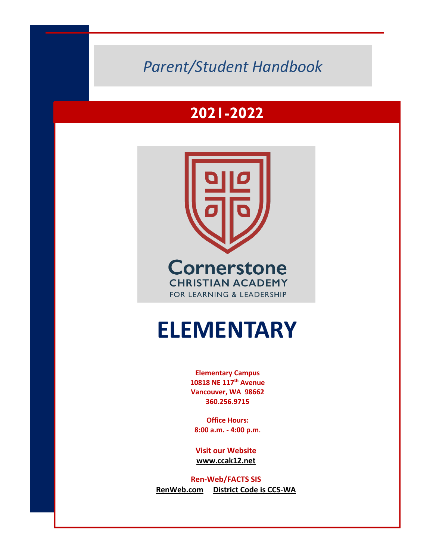# **2011-2012** *Parent/Student Handbook*

# **2021-2022**



# **ELEMENTARY**

**Elementary Campus 10818 NE 117th Avenue Vancouver, WA 98662 360.256.9715**

**Office Hours: 8:00 a.m. - 4:00 p.m.** 

**Visit our Website www.ccak12.net**

**Ren-Web/FACTS SIS RenWeb.com District Code is CCS-WA**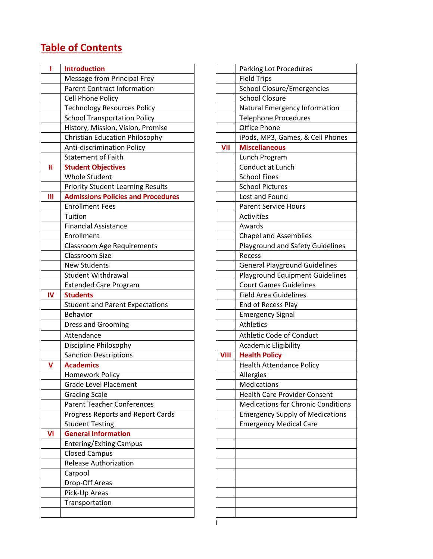# **Table of Contents**

| ı  |                                           |             |                                          |
|----|-------------------------------------------|-------------|------------------------------------------|
|    | <b>Introduction</b>                       |             | Parking Lot Procedures                   |
|    | Message from Principal Frey               |             | <b>Field Trips</b>                       |
|    | <b>Parent Contract Information</b>        |             | <b>School Closure/Emergencies</b>        |
|    | Cell Phone Policy                         |             | <b>School Closure</b>                    |
|    | <b>Technology Resources Policy</b>        |             | Natural Emergency Information            |
|    | <b>School Transportation Policy</b>       |             | <b>Telephone Procedures</b>              |
|    | History, Mission, Vision, Promise         |             | <b>Office Phone</b>                      |
|    | <b>Christian Education Philosophy</b>     |             | iPods, MP3, Games, & Cell Phones         |
|    | Anti-discrimination Policy                | VII         | <b>Miscellaneous</b>                     |
|    | <b>Statement of Faith</b>                 |             | Lunch Program                            |
| Ш  | <b>Student Objectives</b>                 |             | Conduct at Lunch                         |
|    | <b>Whole Student</b>                      |             | <b>School Fines</b>                      |
|    | <b>Priority Student Learning Results</b>  |             | <b>School Pictures</b>                   |
| Ш  | <b>Admissions Policies and Procedures</b> |             | Lost and Found                           |
|    | <b>Enrollment Fees</b>                    |             | <b>Parent Service Hours</b>              |
|    | Tuition                                   |             | Activities                               |
|    | <b>Financial Assistance</b>               |             | Awards                                   |
|    | Enrollment                                |             | <b>Chapel and Assemblies</b>             |
|    | <b>Classroom Age Requirements</b>         |             | Playground and Safety Guidelines         |
|    | <b>Classroom Size</b>                     |             | Recess                                   |
|    | <b>New Students</b>                       |             | <b>General Playground Guidelines</b>     |
|    | <b>Student Withdrawal</b>                 |             | <b>Playground Equipment Guidelines</b>   |
|    | <b>Extended Care Program</b>              |             | <b>Court Games Guidelines</b>            |
| IV | <b>Students</b>                           |             | <b>Field Area Guidelines</b>             |
|    |                                           |             | End of Recess Play                       |
|    | <b>Student and Parent Expectations</b>    |             |                                          |
|    | Behavior                                  |             | <b>Emergency Signal</b>                  |
|    | <b>Dress and Grooming</b>                 |             | Athletics                                |
|    | Attendance                                |             | Athletic Code of Conduct                 |
|    | Discipline Philosophy                     |             | <b>Academic Eligibility</b>              |
|    | <b>Sanction Descriptions</b>              | <b>VIII</b> | <b>Health Policy</b>                     |
| v  | <b>Academics</b>                          |             | <b>Health Attendance Policy</b>          |
|    | Homework Policy                           |             | Allergies                                |
|    | <b>Grade Level Placement</b>              |             | <b>Medications</b>                       |
|    | <b>Grading Scale</b>                      |             | <b>Health Care Provider Consent</b>      |
|    | <b>Parent Teacher Conferences</b>         |             | <b>Medications for Chronic Condition</b> |
|    | Progress Reports and Report Cards         |             | <b>Emergency Supply of Medications</b>   |
|    | <b>Student Testing</b>                    |             | <b>Emergency Medical Care</b>            |
| VI | <b>General Information</b>                |             |                                          |
|    | <b>Entering/Exiting Campus</b>            |             |                                          |
|    | <b>Closed Campus</b>                      |             |                                          |
|    | <b>Release Authorization</b>              |             |                                          |
|    | Carpool                                   |             |                                          |
|    | Drop-Off Areas                            |             |                                          |
|    | Pick-Up Areas                             |             |                                          |
|    | Transportation                            |             |                                          |

| <b>Introduction</b>                       |             | Parking Lot Procedures                    |
|-------------------------------------------|-------------|-------------------------------------------|
| Message from Principal Frey               |             | <b>Field Trips</b>                        |
| <b>Parent Contract Information</b>        |             | <b>School Closure/Emergencies</b>         |
| Cell Phone Policy                         |             | <b>School Closure</b>                     |
| <b>Technology Resources Policy</b>        |             | Natural Emergency Information             |
| <b>School Transportation Policy</b>       |             | <b>Telephone Procedures</b>               |
| History, Mission, Vision, Promise         |             | <b>Office Phone</b>                       |
| <b>Christian Education Philosophy</b>     |             | iPods, MP3, Games, & Cell Phones          |
| <b>Anti-discrimination Policy</b>         | VII         | <b>Miscellaneous</b>                      |
| <b>Statement of Faith</b>                 |             | Lunch Program                             |
| <b>Student Objectives</b>                 |             | Conduct at Lunch                          |
| <b>Whole Student</b>                      |             | <b>School Fines</b>                       |
| <b>Priority Student Learning Results</b>  |             | <b>School Pictures</b>                    |
| <b>Admissions Policies and Procedures</b> |             | Lost and Found                            |
| <b>Enrollment Fees</b>                    |             | <b>Parent Service Hours</b>               |
| <b>Tuition</b>                            |             | <b>Activities</b>                         |
| <b>Financial Assistance</b>               |             | Awards                                    |
| Enrollment                                |             | <b>Chapel and Assemblies</b>              |
| <b>Classroom Age Requirements</b>         |             | <b>Playground and Safety Guidelines</b>   |
| <b>Classroom Size</b>                     |             | Recess                                    |
| <b>New Students</b>                       |             | <b>General Playground Guidelines</b>      |
| Student Withdrawal                        |             | <b>Playground Equipment Guidelines</b>    |
| <b>Extended Care Program</b>              |             | <b>Court Games Guidelines</b>             |
| <b>Students</b>                           |             | <b>Field Area Guidelines</b>              |
| <b>Student and Parent Expectations</b>    |             | End of Recess Play                        |
| <b>Behavior</b>                           |             | <b>Emergency Signal</b>                   |
| <b>Dress and Grooming</b>                 |             | Athletics                                 |
| Attendance                                |             | <b>Athletic Code of Conduct</b>           |
| Discipline Philosophy                     |             | <b>Academic Eligibility</b>               |
| <b>Sanction Descriptions</b>              | <b>VIII</b> | <b>Health Policy</b>                      |
| <b>Academics</b>                          |             | <b>Health Attendance Policy</b>           |
|                                           |             |                                           |
| <b>Homework Policy</b>                    |             | Allergies<br>Medications                  |
| Grade Level Placement                     |             |                                           |
| <b>Grading Scale</b>                      |             | <b>Health Care Provider Consent</b>       |
| <b>Parent Teacher Conferences</b>         |             | <b>Medications for Chronic Conditions</b> |
| <b>Progress Reports and Report Cards</b>  |             | <b>Emergency Supply of Medications</b>    |
| <b>Student Testing</b>                    |             | <b>Emergency Medical Care</b>             |
| <b>General Information</b>                |             |                                           |
| <b>Entering/Exiting Campus</b>            |             |                                           |
| <b>Closed Campus</b>                      |             |                                           |
| <b>Release Authorization</b>              |             |                                           |
| Carpool                                   |             |                                           |
| Drop-Off Areas                            |             |                                           |
| Pick-Up Areas                             |             |                                           |
| Transportation                            |             |                                           |
|                                           |             |                                           |
|                                           |             |                                           |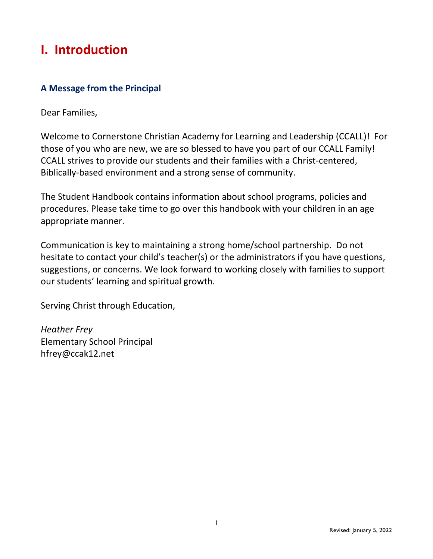# **I. Introduction**

# **A Message from the Principal**

Dear Families,

Welcome to Cornerstone Christian Academy for Learning and Leadership (CCALL)! For those of you who are new, we are so blessed to have you part of our CCALL Family! CCALL strives to provide our students and their families with a Christ-centered, Biblically-based environment and a strong sense of community.

The Student Handbook contains information about school programs, policies and procedures. Please take time to go over this handbook with your children in an age appropriate manner.

Communication is key to maintaining a strong home/school partnership. Do not hesitate to contact your child's teacher(s) or the administrators if you have questions, suggestions, or concerns. We look forward to working closely with families to support our students' learning and spiritual growth.

Serving Christ through Education,

*Heather Frey* Elementary School Principal hfrey@ccak12.net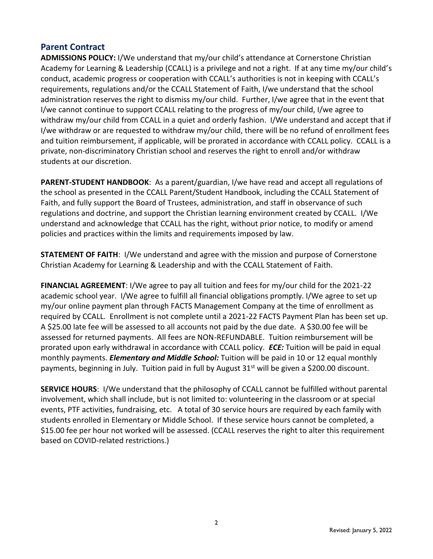#### **Parent Contract**

**ADMISSIONS POLICY:** I/We understand that my/our child's attendance at Cornerstone Christian Academy for Learning & Leadership (CCALL) is a privilege and not a right. If at any time my/our child's conduct, academic progress or cooperation with CCALL's authorities is not in keeping with CCALL's requirements, regulations and/or the CCALL Statement of Faith, I/we understand that the school administration reserves the right to dismiss my/our child. Further, I/we agree that in the event that I/we cannot continue to support CCALL relating to the progress of my/our child, I/we agree to withdraw my/our child from CCALL in a quiet and orderly fashion. I/We understand and accept that if I/we withdraw or are requested to withdraw my/our child, there will be no refund of enrollment fees and tuition reimbursement, if applicable, will be prorated in accordance with CCALL policy. CCALL is a private, non-discriminatory Christian school and reserves the right to enroll and/or withdraw students at our discretion.

**PARENT-STUDENT HANDBOOK**: As a parent/guardian, I/we have read and accept all regulations of the school as presented in the CCALL Parent/Student Handbook, including the CCALL Statement of Faith, and fully support the Board of Trustees, administration, and staff in observance of such regulations and doctrine, and support the Christian learning environment created by CCALL. I/We understand and acknowledge that CCALL has the right, without prior notice, to modify or amend policies and practices within the limits and requirements imposed by law.

**STATEMENT OF FAITH**: I/We understand and agree with the mission and purpose of Cornerstone Christian Academy for Learning & Leadership and with the CCALL Statement of Faith.

**FINANCIAL AGREEMENT**: I/We agree to pay all tuition and fees for my/our child for the 2021-22 academic school year. I/We agree to fulfill all financial obligations promptly. I/We agree to set up my/our online payment plan through FACTS Management Company at the time of enrollment as required by CCALL. Enrollment is not complete until a 2021-22 FACTS Payment Plan has been set up. A \$25.00 late fee will be assessed to all accounts not paid by the due date. A \$30.00 fee will be assessed for returned payments. All fees are NON-REFUNDABLE. Tuition reimbursement will be prorated upon early withdrawal in accordance with CCALL policy. *ECE:* Tuition will be paid in equal monthly payments. *Elementary and Middle School:* Tuition will be paid in 10 or 12 equal monthly payments, beginning in July. Tuition paid in full by August  $31<sup>st</sup>$  will be given a \$200.00 discount.

**SERVICE HOURS**: I/We understand that the philosophy of CCALL cannot be fulfilled without parental involvement, which shall include, but is not limited to: volunteering in the classroom or at special events, PTF activities, fundraising, etc. A total of 30 service hours are required by each family with students enrolled in Elementary or Middle School. If these service hours cannot be completed, a \$15.00 fee per hour not worked will be assessed. (CCALL reserves the right to alter this requirement based on COVID-related restrictions.)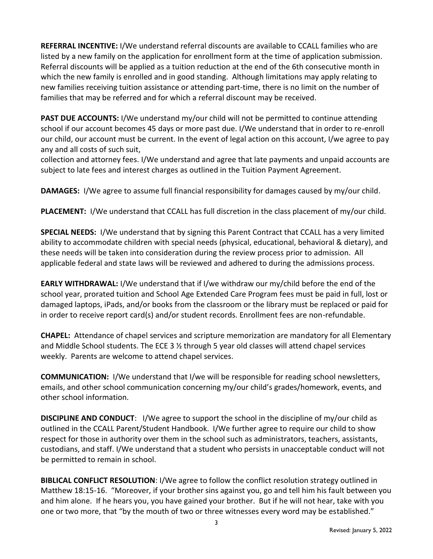**REFERRAL INCENTIVE:** I/We understand referral discounts are available to CCALL families who are listed by a new family on the application for enrollment form at the time of application submission. Referral discounts will be applied as a tuition reduction at the end of the 6th consecutive month in which the new family is enrolled and in good standing. Although limitations may apply relating to new families receiving tuition assistance or attending part-time, there is no limit on the number of families that may be referred and for which a referral discount may be received.

**PAST DUE ACCOUNTS:** I/We understand my/our child will not be permitted to continue attending school if our account becomes 45 days or more past due. I/We understand that in order to re-enroll our child, our account must be current. In the event of legal action on this account, I/we agree to pay any and all costs of such suit,

collection and attorney fees. I/We understand and agree that late payments and unpaid accounts are subject to late fees and interest charges as outlined in the Tuition Payment Agreement.

**DAMAGES:** I/We agree to assume full financial responsibility for damages caused by my/our child.

**PLACEMENT:** I/We understand that CCALL has full discretion in the class placement of my/our child.

**SPECIAL NEEDS:** I/We understand that by signing this Parent Contract that CCALL has a very limited ability to accommodate children with special needs (physical, educational, behavioral & dietary), and these needs will be taken into consideration during the review process prior to admission. All applicable federal and state laws will be reviewed and adhered to during the admissions process.

**EARLY WITHDRAWAL:** I/We understand that if I/we withdraw our my/child before the end of the school year, prorated tuition and School Age Extended Care Program fees must be paid in full, lost or damaged laptops, iPads, and/or books from the classroom or the library must be replaced or paid for in order to receive report card(s) and/or student records. Enrollment fees are non-refundable.

**CHAPEL:** Attendance of chapel services and scripture memorization are mandatory for all Elementary and Middle School students. The ECE 3 ½ through 5 year old classes will attend chapel services weekly. Parents are welcome to attend chapel services.

**COMMUNICATION:** I/We understand that I/we will be responsible for reading school newsletters, emails, and other school communication concerning my/our child's grades/homework, events, and other school information.

**DISCIPLINE AND CONDUCT**: I/We agree to support the school in the discipline of my/our child as outlined in the CCALL Parent/Student Handbook. I/We further agree to require our child to show respect for those in authority over them in the school such as administrators, teachers, assistants, custodians, and staff. I/We understand that a student who persists in unacceptable conduct will not be permitted to remain in school.

**BIBLICAL CONFLICT RESOLUTION**: I/We agree to follow the conflict resolution strategy outlined in Matthew 18:15-16. "Moreover, if your brother sins against you, go and tell him his fault between you and him alone. If he hears you, you have gained your brother. But if he will not hear, take with you one or two more, that "by the mouth of two or three witnesses every word may be established."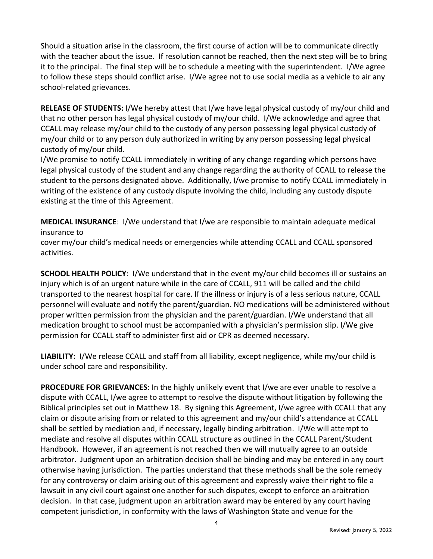Should a situation arise in the classroom, the first course of action will be to communicate directly with the teacher about the issue. If resolution cannot be reached, then the next step will be to bring it to the principal. The final step will be to schedule a meeting with the superintendent. I/We agree to follow these steps should conflict arise. I/We agree not to use social media as a vehicle to air any school-related grievances.

**RELEASE OF STUDENTS:** I/We hereby attest that I/we have legal physical custody of my/our child and that no other person has legal physical custody of my/our child. I/We acknowledge and agree that CCALL may release my/our child to the custody of any person possessing legal physical custody of my/our child or to any person duly authorized in writing by any person possessing legal physical custody of my/our child.

I/We promise to notify CCALL immediately in writing of any change regarding which persons have legal physical custody of the student and any change regarding the authority of CCALL to release the student to the persons designated above. Additionally, I/we promise to notify CCALL immediately in writing of the existence of any custody dispute involving the child, including any custody dispute existing at the time of this Agreement.

**MEDICAL INSURANCE**: I/We understand that I/we are responsible to maintain adequate medical insurance to

cover my/our child's medical needs or emergencies while attending CCALL and CCALL sponsored activities.

**SCHOOL HEALTH POLICY**: I/We understand that in the event my/our child becomes ill or sustains an injury which is of an urgent nature while in the care of CCALL, 911 will be called and the child transported to the nearest hospital for care. If the illness or injury is of a less serious nature, CCALL personnel will evaluate and notify the parent/guardian. NO medications will be administered without proper written permission from the physician and the parent/guardian. I/We understand that all medication brought to school must be accompanied with a physician's permission slip. I/We give permission for CCALL staff to administer first aid or CPR as deemed necessary.

**LIABILITY:** I/We release CCALL and staff from all liability, except negligence, while my/our child is under school care and responsibility.

**PROCEDURE FOR GRIEVANCES**: In the highly unlikely event that I/we are ever unable to resolve a dispute with CCALL, I/we agree to attempt to resolve the dispute without litigation by following the Biblical principles set out in Matthew 18. By signing this Agreement, I/we agree with CCALL that any claim or dispute arising from or related to this agreement and my/our child's attendance at CCALL shall be settled by mediation and, if necessary, legally binding arbitration. I/We will attempt to mediate and resolve all disputes within CCALL structure as outlined in the CCALL Parent/Student Handbook. However, if an agreement is not reached then we will mutually agree to an outside arbitrator. Judgment upon an arbitration decision shall be binding and may be entered in any court otherwise having jurisdiction. The parties understand that these methods shall be the sole remedy for any controversy or claim arising out of this agreement and expressly waive their right to file a lawsuit in any civil court against one another for such disputes, except to enforce an arbitration decision. In that case, judgment upon an arbitration award may be entered by any court having competent jurisdiction, in conformity with the laws of Washington State and venue for the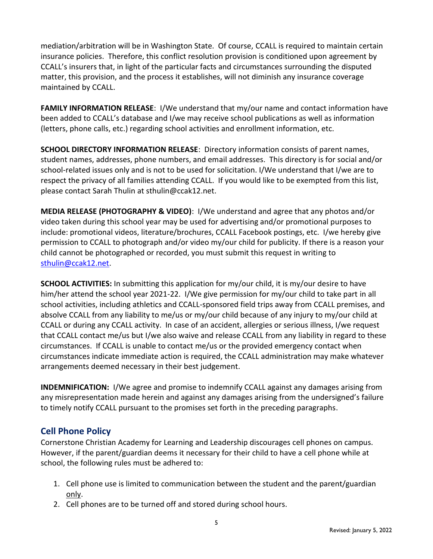mediation/arbitration will be in Washington State. Of course, CCALL is required to maintain certain insurance policies. Therefore, this conflict resolution provision is conditioned upon agreement by CCALL's insurers that, in light of the particular facts and circumstances surrounding the disputed matter, this provision, and the process it establishes, will not diminish any insurance coverage maintained by CCALL.

**FAMILY INFORMATION RELEASE**: I/We understand that my/our name and contact information have been added to CCALL's database and I/we may receive school publications as well as information (letters, phone calls, etc.) regarding school activities and enrollment information, etc.

**SCHOOL DIRECTORY INFORMATION RELEASE**: Directory information consists of parent names, student names, addresses, phone numbers, and email addresses. This directory is for social and/or school-related issues only and is not to be used for solicitation. I/We understand that I/we are to respect the privacy of all families attending CCALL. If you would like to be exempted from this list, please contact Sarah Thulin at sthulin@ccak12.net.

**MEDIA RELEASE (PHOTOGRAPHY & VIDEO)**: I/We understand and agree that any photos and/or video taken during this school year may be used for advertising and/or promotional purposes to include: promotional videos, literature/brochures, CCALL Facebook postings, etc. I/we hereby give permission to CCALL to photograph and/or video my/our child for publicity. If there is a reason your child cannot be photographed or recorded, you must submit this request in writing to [sthulin@ccak12.net.](mailto:sthulin@ccak12.net)

**SCHOOL ACTIVITIES:** In submitting this application for my/our child, it is my/our desire to have him/her attend the school year 2021-22. I/We give permission for my/our child to take part in all school activities, including athletics and CCALL-sponsored field trips away from CCALL premises, and absolve CCALL from any liability to me/us or my/our child because of any injury to my/our child at CCALL or during any CCALL activity. In case of an accident, allergies or serious illness, I/we request that CCALL contact me/us but I/we also waive and release CCALL from any liability in regard to these circumstances. If CCALL is unable to contact me/us or the provided emergency contact when circumstances indicate immediate action is required, the CCALL administration may make whatever arrangements deemed necessary in their best judgement.

**INDEMNIFICATION:** I/We agree and promise to indemnify CCALL against any damages arising from any misrepresentation made herein and against any damages arising from the undersigned's failure to timely notify CCALL pursuant to the promises set forth in the preceding paragraphs.

# **Cell Phone Policy**

Cornerstone Christian Academy for Learning and Leadership discourages cell phones on campus. However, if the parent/guardian deems it necessary for their child to have a cell phone while at school, the following rules must be adhered to:

- 1. Cell phone use is limited to communication between the student and the parent/guardian only.
- 2. Cell phones are to be turned off and stored during school hours.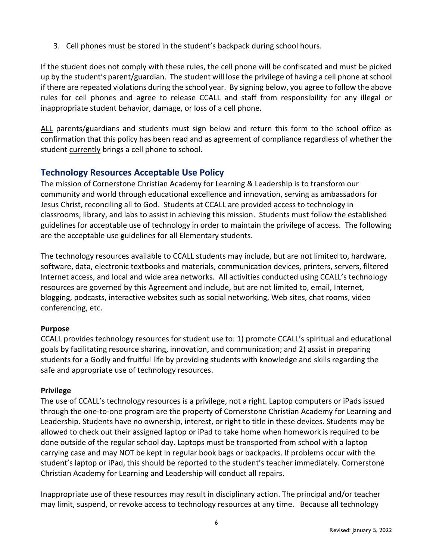3. Cell phones must be stored in the student's backpack during school hours.

If the student does not comply with these rules, the cell phone will be confiscated and must be picked up by the student's parent/guardian. The student will lose the privilege of having a cell phone at school if there are repeated violations during the school year. By signing below, you agree to follow the above rules for cell phones and agree to release CCALL and staff from responsibility for any illegal or inappropriate student behavior, damage, or loss of a cell phone.

ALL parents/guardians and students must sign below and return this form to the school office as confirmation that this policy has been read and as agreement of compliance regardless of whether the student currently brings a cell phone to school.

# **Technology Resources Acceptable Use Policy**

The mission of Cornerstone Christian Academy for Learning & Leadership is to transform our community and world through educational excellence and innovation, serving as ambassadors for Jesus Christ, reconciling all to God. Students at CCALL are provided access to technology in classrooms, library, and labs to assist in achieving this mission. Students must follow the established guidelines for acceptable use of technology in order to maintain the privilege of access. The following are the acceptable use guidelines for all Elementary students.

The technology resources available to CCALL students may include, but are not limited to, hardware, software, data, electronic textbooks and materials, communication devices, printers, servers, filtered Internet access, and local and wide area networks. All activities conducted using CCALL's technology resources are governed by this Agreement and include, but are not limited to, email, Internet, blogging, podcasts, interactive websites such as social networking, Web sites, chat rooms, video conferencing, etc.

#### **Purpose**

CCALL provides technology resources for student use to: 1) promote CCALL's spiritual and educational goals by facilitating resource sharing, innovation, and communication; and 2) assist in preparing students for a Godly and fruitful life by providing students with knowledge and skills regarding the safe and appropriate use of technology resources.

#### **Privilege**

The use of CCALL's technology resources is a privilege, not a right. Laptop computers or iPads issued through the one-to-one program are the property of Cornerstone Christian Academy for Learning and Leadership. Students have no ownership, interest, or right to title in these devices. Students may be allowed to check out their assigned laptop or iPad to take home when homework is required to be done outside of the regular school day. Laptops must be transported from school with a laptop carrying case and may NOT be kept in regular book bags or backpacks. If problems occur with the student's laptop or iPad, this should be reported to the student's teacher immediately. Cornerstone Christian Academy for Learning and Leadership will conduct all repairs.

Inappropriate use of these resources may result in disciplinary action. The principal and/or teacher may limit, suspend, or revoke access to technology resources at any time. Because all technology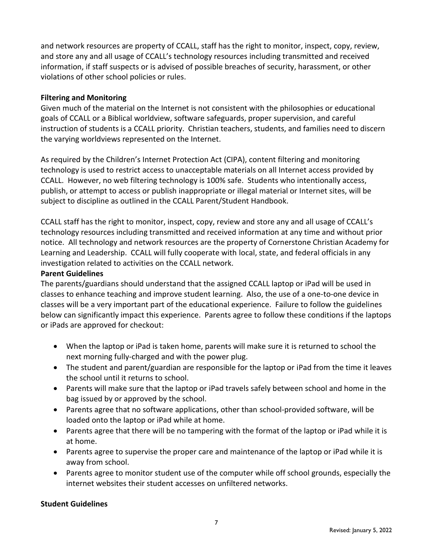and network resources are property of CCALL, staff has the right to monitor, inspect, copy, review, and store any and all usage of CCALL's technology resources including transmitted and received information, if staff suspects or is advised of possible breaches of security, harassment, or other violations of other school policies or rules.

#### **Filtering and Monitoring**

Given much of the material on the Internet is not consistent with the philosophies or educational goals of CCALL or a Biblical worldview, software safeguards, proper supervision, and careful instruction of students is a CCALL priority. Christian teachers, students, and families need to discern the varying worldviews represented on the Internet.

As required by the Children's Internet Protection Act (CIPA), content filtering and monitoring technology is used to restrict access to unacceptable materials on all Internet access provided by CCALL. However, no web filtering technology is 100% safe. Students who intentionally access, publish, or attempt to access or publish inappropriate or illegal material or Internet sites, will be subject to discipline as outlined in the CCALL Parent/Student Handbook.

CCALL staff has the right to monitor, inspect, copy, review and store any and all usage of CCALL's technology resources including transmitted and received information at any time and without prior notice. All technology and network resources are the property of Cornerstone Christian Academy for Learning and Leadership. CCALL will fully cooperate with local, state, and federal officials in any investigation related to activities on the CCALL network.

#### **Parent Guidelines**

The parents/guardians should understand that the assigned CCALL laptop or iPad will be used in classes to enhance teaching and improve student learning. Also, the use of a one-to-one device in classes will be a very important part of the educational experience. Failure to follow the guidelines below can significantly impact this experience. Parents agree to follow these conditions if the laptops or iPads are approved for checkout:

- When the laptop or iPad is taken home, parents will make sure it is returned to school the next morning fully-charged and with the power plug.
- The student and parent/guardian are responsible for the laptop or iPad from the time it leaves the school until it returns to school.
- Parents will make sure that the laptop or iPad travels safely between school and home in the bag issued by or approved by the school.
- Parents agree that no software applications, other than school-provided software, will be loaded onto the laptop or iPad while at home.
- Parents agree that there will be no tampering with the format of the laptop or iPad while it is at home.
- Parents agree to supervise the proper care and maintenance of the laptop or iPad while it is away from school.
- Parents agree to monitor student use of the computer while off school grounds, especially the internet websites their student accesses on unfiltered networks.

#### **Student Guidelines**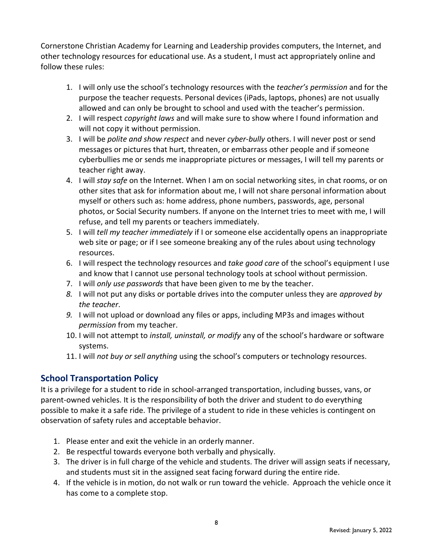Cornerstone Christian Academy for Learning and Leadership provides computers, the Internet, and other technology resources for educational use. As a student, I must act appropriately online and follow these rules:

- 1. I will only use the school's technology resources with the *teacher's permission* and for the purpose the teacher requests. Personal devices (iPads, laptops, phones) are not usually allowed and can only be brought to school and used with the teacher's permission.
- 2. I will respect *copyright laws* and will make sure to show where I found information and will not copy it without permission.
- 3. I will be *polite and show respect* and never *cyber-bully* others. I will never post or send messages or pictures that hurt, threaten, or embarrass other people and if someone cyberbullies me or sends me inappropriate pictures or messages, I will tell my parents or teacher right away.
- 4. I will *stay safe* on the Internet. When I am on social networking sites, in chat rooms, or on other sites that ask for information about me, I will not share personal information about myself or others such as: home address, phone numbers, passwords, age, personal photos, or Social Security numbers. If anyone on the Internet tries to meet with me, I will refuse, and tell my parents or teachers immediately.
- 5. I will *tell my teacher immediately* if I or someone else accidentally opens an inappropriate web site or page; or if I see someone breaking any of the rules about using technology resources.
- 6. I will respect the technology resources and *take good care* of the school's equipment I use and know that I cannot use personal technology tools at school without permission.
- 7. I will *only use passwords* that have been given to me by the teacher.
- *8.* I will not put any disks or portable drives into the computer unless they are *approved by the teacher*.
- *9.* I will not upload or download any files or apps, including MP3s and images without *permission* from my teacher.
- 10. I will not attempt to *install, uninstall, or modify* any of the school's hardware or software systems.
- 11. I will *not buy or sell anything* using the school's computers or technology resources.

# **School Transportation Policy**

It is a privilege for a student to ride in school-arranged transportation, including busses, vans, or parent-owned vehicles. It is the responsibility of both the driver and student to do everything possible to make it a safe ride. The privilege of a student to ride in these vehicles is contingent on observation of safety rules and acceptable behavior.

- 1. Please enter and exit the vehicle in an orderly manner.
- 2. Be respectful towards everyone both verbally and physically.
- 3. The driver is in full charge of the vehicle and students. The driver will assign seats if necessary, and students must sit in the assigned seat facing forward during the entire ride.
- 4. If the vehicle is in motion, do not walk or run toward the vehicle. Approach the vehicle once it has come to a complete stop.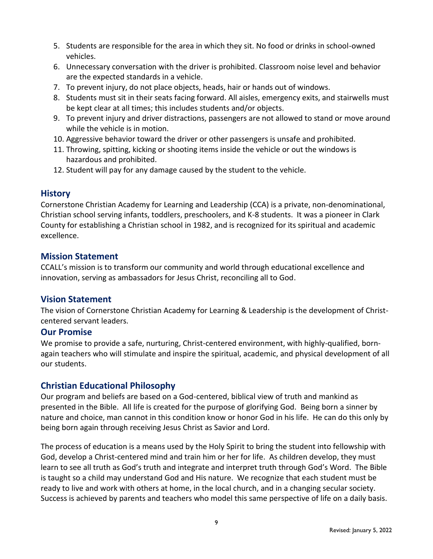- 5. Students are responsible for the area in which they sit. No food or drinks in school-owned vehicles.
- 6. Unnecessary conversation with the driver is prohibited. Classroom noise level and behavior are the expected standards in a vehicle.
- 7. To prevent injury, do not place objects, heads, hair or hands out of windows.
- 8. Students must sit in their seats facing forward. All aisles, emergency exits, and stairwells must be kept clear at all times; this includes students and/or objects.
- 9. To prevent injury and driver distractions, passengers are not allowed to stand or move around while the vehicle is in motion.
- 10. Aggressive behavior toward the driver or other passengers is unsafe and prohibited.
- 11. Throwing, spitting, kicking or shooting items inside the vehicle or out the windows is hazardous and prohibited.
- 12. Student will pay for any damage caused by the student to the vehicle.

#### **History**

Cornerstone Christian Academy for Learning and Leadership (CCA) is a private, non-denominational, Christian school serving infants, toddlers, preschoolers, and K-8 students. It was a pioneer in Clark County for establishing a Christian school in 1982, and is recognized for its spiritual and academic excellence.

### **Mission Statement**

CCALL's mission is to transform our community and world through educational excellence and innovation, serving as ambassadors for Jesus Christ, reconciling all to God.

# **Vision Statement**

The vision of Cornerstone Christian Academy for Learning & Leadership is the development of Christcentered servant leaders.

#### **Our Promise**

We promise to provide a safe, nurturing, Christ-centered environment, with highly-qualified, bornagain teachers who will stimulate and inspire the spiritual, academic, and physical development of all our students.

# **Christian Educational Philosophy**

Our program and beliefs are based on a God-centered, biblical view of truth and mankind as presented in the Bible. All life is created for the purpose of glorifying God. Being born a sinner by nature and choice, man cannot in this condition know or honor God in his life. He can do this only by being born again through receiving Jesus Christ as Savior and Lord.

The process of education is a means used by the Holy Spirit to bring the student into fellowship with God, develop a Christ-centered mind and train him or her for life. As children develop, they must learn to see all truth as God's truth and integrate and interpret truth through God's Word. The Bible is taught so a child may understand God and His nature. We recognize that each student must be ready to live and work with others at home, in the local church, and in a changing secular society. Success is achieved by parents and teachers who model this same perspective of life on a daily basis.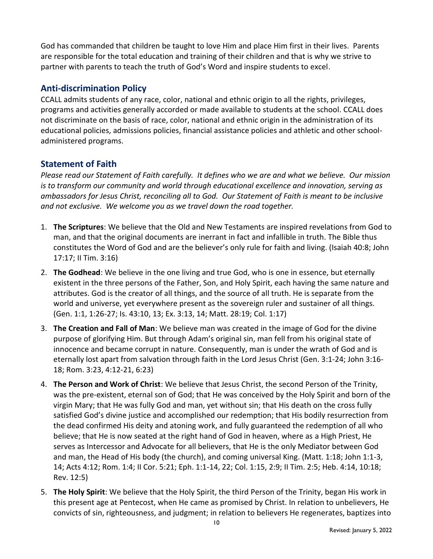God has commanded that children be taught to love Him and place Him first in their lives. Parents are responsible for the total education and training of their children and that is why we strive to partner with parents to teach the truth of God's Word and inspire students to excel.

### **Anti-discrimination Policy**

CCALL admits students of any race, color, national and ethnic origin to all the rights, privileges, programs and activities generally accorded or made available to students at the school. CCALL does not discriminate on the basis of race, color, national and ethnic origin in the administration of its educational policies, admissions policies, financial assistance policies and athletic and other schooladministered programs.

### **Statement of Faith**

*Please read our Statement of Faith carefully. It defines who we are and what we believe. Our mission is to transform our community and world through educational excellence and innovation, serving as ambassadors for Jesus Christ, reconciling all to God. Our Statement of Faith is meant to be inclusive and not exclusive. We welcome you as we travel down the road together.*

- 1. **The Scriptures**: We believe that the Old and New Testaments are inspired revelations from God to man, and that the original documents are inerrant in fact and infallible in truth. The Bible thus constitutes the Word of God and are the believer's only rule for faith and living. (Isaiah 40:8; John 17:17; II Tim. 3:16)
- 2. **The Godhead**: We believe in the one living and true God, who is one in essence, but eternally existent in the three persons of the Father, Son, and Holy Spirit, each having the same nature and attributes. God is the creator of all things, and the source of all truth. He is separate from the world and universe, yet everywhere present as the sovereign ruler and sustainer of all things. (Gen. 1:1, 1:26-27; Is. 43:10, 13; Ex. 3:13, 14; Matt. 28:19; Col. 1:17)
- 3. **The Creation and Fall of Man**: We believe man was created in the image of God for the divine purpose of glorifying Him. But through Adam's original sin, man fell from his original state of innocence and became corrupt in nature. Consequently, man is under the wrath of God and is eternally lost apart from salvation through faith in the Lord Jesus Christ (Gen. 3:1-24; John 3:16- 18; Rom. 3:23, 4:12-21, 6:23)
- 4. **The Person and Work of Christ**: We believe that Jesus Christ, the second Person of the Trinity, was the pre-existent, eternal son of God; that He was conceived by the Holy Spirit and born of the virgin Mary; that He was fully God and man, yet without sin; that His death on the cross fully satisfied God's divine justice and accomplished our redemption; that His bodily resurrection from the dead confirmed His deity and atoning work, and fully guaranteed the redemption of all who believe; that He is now seated at the right hand of God in heaven, where as a High Priest, He serves as Intercessor and Advocate for all believers, that He is the only Mediator between God and man, the Head of His body (the church), and coming universal King. (Matt. 1:18; John 1:1-3, 14; Acts 4:12; Rom. 1:4; II Cor. 5:21; Eph. 1:1-14, 22; Col. 1:15, 2:9; II Tim. 2:5; Heb. 4:14, 10:18; Rev. 12:5)
- 5. **The Holy Spirit**: We believe that the Holy Spirit, the third Person of the Trinity, began His work in this present age at Pentecost, when He came as promised by Christ. In relation to unbelievers, He convicts of sin, righteousness, and judgment; in relation to believers He regenerates, baptizes into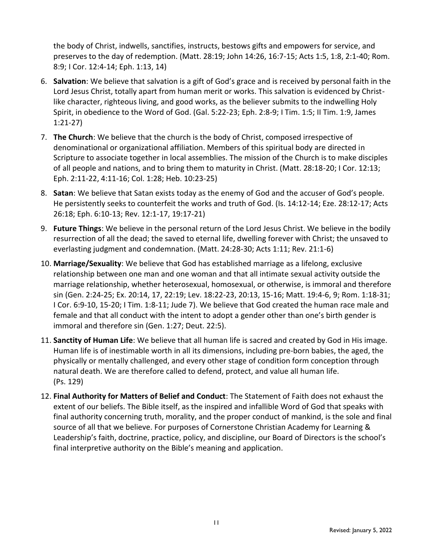the body of Christ, indwells, sanctifies, instructs, bestows gifts and empowers for service, and preserves to the day of redemption. (Matt. 28:19; John 14:26, 16:7-15; Acts 1:5, 1:8, 2:1-40; Rom. 8:9; I Cor. 12:4-14; Eph. 1:13, 14)

- 6. **Salvation**: We believe that salvation is a gift of God's grace and is received by personal faith in the Lord Jesus Christ, totally apart from human merit or works. This salvation is evidenced by Christlike character, righteous living, and good works, as the believer submits to the indwelling Holy Spirit, in obedience to the Word of God. (Gal. 5:22-23; Eph. 2:8-9; I Tim. 1:5; II Tim. 1:9, James 1:21-27)
- 7. **The Church**: We believe that the church is the body of Christ, composed irrespective of denominational or organizational affiliation. Members of this spiritual body are directed in Scripture to associate together in local assemblies. The mission of the Church is to make disciples of all people and nations, and to bring them to maturity in Christ. (Matt. 28:18-20; I Cor. 12:13; Eph. 2:11-22, 4:11-16; Col. 1:28; Heb. 10:23-25)
- 8. **Satan**: We believe that Satan exists today as the enemy of God and the accuser of God's people. He persistently seeks to counterfeit the works and truth of God. (Is. 14:12-14; Eze. 28:12-17; Acts 26:18; Eph. 6:10-13; Rev. 12:1-17, 19:17-21)
- 9. **Future Things**: We believe in the personal return of the Lord Jesus Christ. We believe in the bodily resurrection of all the dead; the saved to eternal life, dwelling forever with Christ; the unsaved to everlasting judgment and condemnation. (Matt. 24:28-30; Acts 1:11; Rev. 21:1-6)
- 10. **Marriage/Sexuality**: We believe that God has established marriage as a lifelong, exclusive relationship between one man and one woman and that all intimate sexual activity outside the marriage relationship, whether heterosexual, homosexual, or otherwise, is immoral and therefore sin (Gen. 2:24-25; Ex. 20:14, 17, 22:19; Lev. 18:22-23, 20:13, 15-16; Matt. 19:4-6, 9; Rom. 1:18-31; I Cor. 6:9-10, 15-20; I Tim. 1:8-11; Jude 7). We believe that God created the human race male and female and that all conduct with the intent to adopt a gender other than one's birth gender is immoral and therefore sin (Gen. 1:27; Deut. 22:5).
- 11. **Sanctity of Human Life**: We believe that all human life is sacred and created by God in His image. Human life is of inestimable worth in all its dimensions, including pre-born babies, the aged, the physically or mentally challenged, and every other stage of condition form conception through natural death. We are therefore called to defend, protect, and value all human life. (Ps. 129)
- 12. **Final Authority for Matters of Belief and Conduct**: The Statement of Faith does not exhaust the extent of our beliefs. The Bible itself, as the inspired and infallible Word of God that speaks with final authority concerning truth, morality, and the proper conduct of mankind, is the sole and final source of all that we believe. For purposes of Cornerstone Christian Academy for Learning & Leadership's faith, doctrine, practice, policy, and discipline, our Board of Directors is the school's final interpretive authority on the Bible's meaning and application.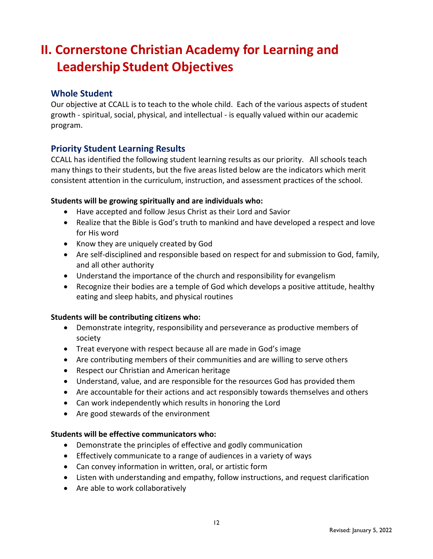# **II. Cornerstone Christian Academy for Learning and Leadership Student Objectives**

#### **Whole Student**

Our objective at CCALL is to teach to the whole child. Each of the various aspects of student growth - spiritual, social, physical, and intellectual - is equally valued within our academic program.

#### **Priority Student Learning Results**

CCALL has identified the following student learning results as our priority. All schools teach many things to their students, but the five areas listed below are the indicators which merit consistent attention in the curriculum, instruction, and assessment practices of the school.

#### **Students will be growing spiritually and are individuals who:**

- Have accepted and follow Jesus Christ as their Lord and Savior
- Realize that the Bible is God's truth to mankind and have developed a respect and love for His word
- Know they are uniquely created by God
- Are self-disciplined and responsible based on respect for and submission to God, family, and all other authority
- Understand the importance of the church and responsibility for evangelism
- Recognize their bodies are a temple of God which develops a positive attitude, healthy eating and sleep habits, and physical routines

#### **Students will be contributing citizens who:**

- Demonstrate integrity, responsibility and perseverance as productive members of society
- Treat everyone with respect because all are made in God's image
- Are contributing members of their communities and are willing to serve others
- Respect our Christian and American heritage
- Understand, value, and are responsible for the resources God has provided them
- Are accountable for their actions and act responsibly towards themselves and others
- Can work independently which results in honoring the Lord
- Are good stewards of the environment

#### **Students will be effective communicators who:**

- Demonstrate the principles of effective and godly communication
- Effectively communicate to a range of audiences in a variety of ways
- Can convey information in written, oral, or artistic form
- Listen with understanding and empathy, follow instructions, and request clarification
- Are able to work collaboratively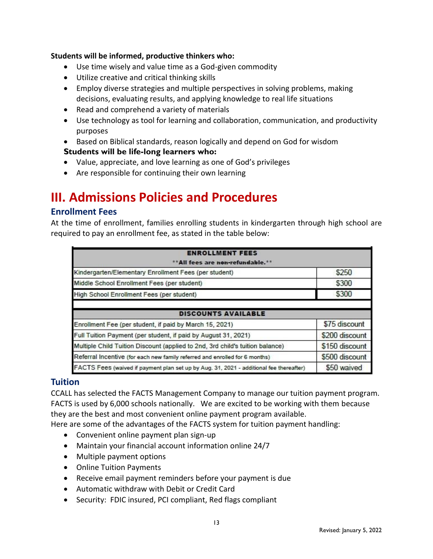#### **Students will be informed, productive thinkers who:**

- Use time wisely and value time as a God-given commodity
- Utilize creative and critical thinking skills
- Employ diverse strategies and multiple perspectives in solving problems, making decisions, evaluating results, and applying knowledge to real life situations
- Read and comprehend a variety of materials
- Use technology as tool for learning and collaboration, communication, and productivity purposes
- Based on Biblical standards, reason logically and depend on God for wisdom

#### **Students will be life-long learners who:**

- Value, appreciate, and love learning as one of God's privileges
- Are responsible for continuing their own learning

# **III. Admissions Policies and Procedures**

#### **Enrollment Fees**

At the time of enrollment, families enrolling students in kindergarten through high school are required to pay an enrollment fee, as stated in the table below:

| <b>ENROLLMENT FEES</b>                                                                  |                |  |
|-----------------------------------------------------------------------------------------|----------------|--|
| ** All fees are non-refundable.**                                                       |                |  |
| Kindergarten/Elementary Enrollment Fees (per student)                                   | \$250          |  |
| Middle School Enrollment Fees (per student)                                             | \$300          |  |
| High School Enrollment Fees (per student)                                               | \$300          |  |
| <b>DISCOUNTS AVAILABLE</b>                                                              |                |  |
| Enrollment Fee (per student, if paid by March 15, 2021)                                 | \$75 discount  |  |
| Full Tuition Payment (per student, if paid by August 31, 2021)                          | \$200 discount |  |
| Multiple Child Tuition Discount (applied to 2nd, 3rd child's tuition balance)           | \$150 discount |  |
| Referral Incentive (for each new family referred and enrolled for 6 months)             | \$500 discount |  |
| FACTS Fees (waived if payment plan set up by Aug. 31, 2021 - additional fee thereafter) | \$50 waived    |  |

#### **Tuition**

CCALL has selected the FACTS Management Company to manage our tuition payment program. FACTS is used by 6,000 schools nationally. We are excited to be working with them because they are the best and most convenient online payment program available.

Here are some of the advantages of the FACTS system for tuition payment handling:

- Convenient online payment plan sign-up
- Maintain your financial account information online 24/7
- Multiple payment options
- Online Tuition Payments
- Receive email payment reminders before your payment is due
- Automatic withdraw with Debit or Credit Card
- Security: FDIC insured, PCI compliant, Red flags compliant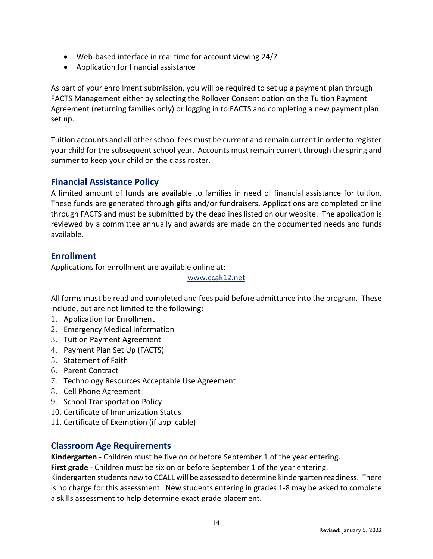- Web-based interface in real time for account viewing 24/7
- Application for financial assistance

As part of your enrollment submission, you will be required to set up a payment plan through FACTS Management either by selecting the Rollover Consent option on the Tuition Payment Agreement (returning families only) or logging in to FACTS and completing a new payment plan set up.

Tuition accounts and all other school fees must be current and remain current in order to register your child for the subsequent school year. Accounts must remain current through the spring and summer to keep your child on the class roster.

#### **Financial Assistance Policy**

A limited amount of funds are available to families in need of financial assistance for tuition. These funds are generated through gifts and/or fundraisers. Applications are completed online through FACTS and must be submitted by the deadlines listed on our website. The application is reviewed by a committee annually and awards are made on the documented needs and funds available.

### **Enrollment**

Applications for enrollment are available online at:

www.ccak12.net

All forms must be read and completed and fees paid before admittance into the program. These include, but are not limited to the following:

- 1. Application for Enrollment
- 2. Emergency Medical Information
- 3. Tuition Payment Agreement
- 4. Payment Plan Set Up (FACTS)
- 5. Statement of Faith
- 6. Parent Contract
- 7. Technology Resources Acceptable Use Agreement
- 8. Cell Phone Agreement
- 9. School Transportation Policy
- 10. Certificate of Immunization Status
- 11. Certificate of Exemption (if applicable)

#### **Classroom Age Requirements**

**Kindergarten** - Children must be five on or before September 1 of the year entering.

**First grade** - Children must be six on or before September 1 of the year entering.

Kindergarten students new to CCALL will be assessed to determine kindergarten readiness. There is no charge for this assessment. New students entering in grades 1-8 may be asked to complete a skills assessment to help determine exact grade placement.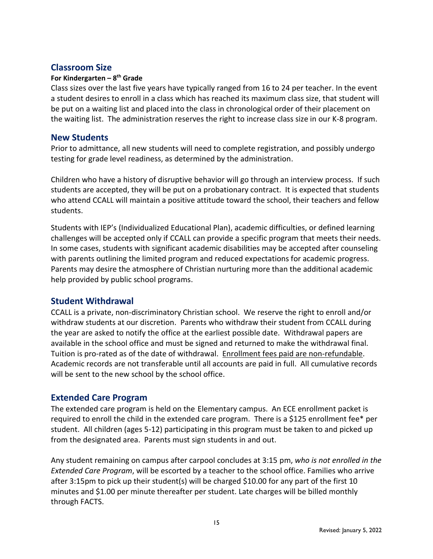#### **Classroom Size**

#### **For Kindergarten – 8 th Grade**

Class sizes over the last five years have typically ranged from 16 to 24 per teacher. In the event a student desires to enroll in a class which has reached its maximum class size, that student will be put on a waiting list and placed into the class in chronological order of their placement on the waiting list. The administration reserves the right to increase class size in our K-8 program.

#### **New Students**

Prior to admittance, all new students will need to complete registration, and possibly undergo testing for grade level readiness, as determined by the administration.

Children who have a history of disruptive behavior will go through an interview process. If such students are accepted, they will be put on a probationary contract. It is expected that students who attend CCALL will maintain a positive attitude toward the school, their teachers and fellow students.

Students with IEP's (Individualized Educational Plan), academic difficulties, or defined learning challenges will be accepted only if CCALL can provide a specific program that meets their needs. In some cases, students with significant academic disabilities may be accepted after counseling with parents outlining the limited program and reduced expectations for academic progress. Parents may desire the atmosphere of Christian nurturing more than the additional academic help provided by public school programs.

#### **Student Withdrawal**

CCALL is a private, non-discriminatory Christian school. We reserve the right to enroll and/or withdraw students at our discretion. Parents who withdraw their student from CCALL during the year are asked to notify the office at the earliest possible date. Withdrawal papers are available in the school office and must be signed and returned to make the withdrawal final. Tuition is pro-rated as of the date of withdrawal. Enrollment fees paid are non-refundable. Academic records are not transferable until all accounts are paid in full. All cumulative records will be sent to the new school by the school office.

#### **Extended Care Program**

The extended care program is held on the Elementary campus. An ECE enrollment packet is required to enroll the child in the extended care program. There is a \$125 enrollment fee\* per student. All children (ages 5-12) participating in this program must be taken to and picked up from the designated area. Parents must sign students in and out.

Any student remaining on campus after carpool concludes at 3:15 pm, *who is not enrolled in the Extended Care Program*, will be escorted by a teacher to the school office. Families who arrive after 3:15pm to pick up their student(s) will be charged \$10.00 for any part of the first 10 minutes and \$1.00 per minute thereafter per student. Late charges will be billed monthly through FACTS.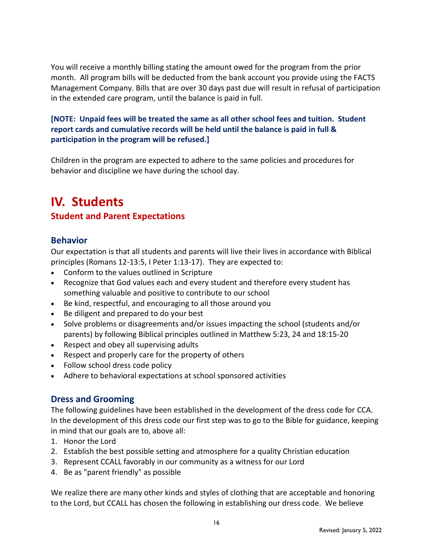You will receive a monthly billing stating the amount owed for the program from the prior month. All program bills will be deducted from the bank account you provide using the FACTS Management Company. Bills that are over 30 days past due will result in refusal of participation in the extended care program, until the balance is paid in full.

#### **[NOTE: Unpaid fees will be treated the same as all other school fees and tuition. Student report cards and cumulative records will be held until the balance is paid in full & participation in the program will be refused.]**

Children in the program are expected to adhere to the same policies and procedures for behavior and discipline we have during the school day.

# **IV. Students**

# **Student and Parent Expectations**

#### **Behavior**

Our expectation is that all students and parents will live their lives in accordance with Biblical principles (Romans 12-13:5, I Peter 1:13-17). They are expected to:

- Conform to the values outlined in Scripture
- Recognize that God values each and every student and therefore every student has something valuable and positive to contribute to our school
- Be kind, respectful, and encouraging to all those around you
- Be diligent and prepared to do your best
- Solve problems or disagreements and/or issues impacting the school (students and/or parents) by following Biblical principles outlined in Matthew 5:23, 24 and 18:15-20
- Respect and obey all supervising adults
- Respect and properly care for the property of others
- Follow school dress code policy
- Adhere to behavioral expectations at school sponsored activities

#### **Dress and Grooming**

The following guidelines have been established in the development of the dress code for CCA. In the development of this dress code our first step was to go to the Bible for guidance, keeping in mind that our goals are to, above all:

- 1. Honor the Lord
- 2. Establish the best possible setting and atmosphere for a quality Christian education
- 3. Represent CCALL favorably in our community as a witness for our Lord
- 4. Be as "parent friendly" as possible

We realize there are many other kinds and styles of clothing that are acceptable and honoring to the Lord, but CCALL has chosen the following in establishing our dress code. We believe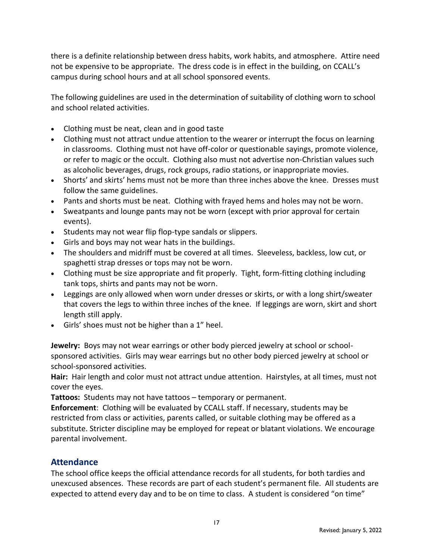there is a definite relationship between dress habits, work habits, and atmosphere. Attire need not be expensive to be appropriate. The dress code is in effect in the building, on CCALL's campus during school hours and at all school sponsored events.

The following guidelines are used in the determination of suitability of clothing worn to school and school related activities.

- Clothing must be neat, clean and in good taste
- Clothing must not attract undue attention to the wearer or interrupt the focus on learning in classrooms. Clothing must not have off-color or questionable sayings, promote violence, or refer to magic or the occult. Clothing also must not advertise non-Christian values such as alcoholic beverages, drugs, rock groups, radio stations, or inappropriate movies.
- Shorts' and skirts' hems must not be more than three inches above the knee. Dresses must follow the same guidelines.
- Pants and shorts must be neat. Clothing with frayed hems and holes may not be worn.
- Sweatpants and lounge pants may not be worn (except with prior approval for certain events).
- Students may not wear flip flop-type sandals or slippers.
- Girls and boys may not wear hats in the buildings.
- The shoulders and midriff must be covered at all times. Sleeveless, backless, low cut, or spaghetti strap dresses or tops may not be worn.
- Clothing must be size appropriate and fit properly. Tight, form-fitting clothing including tank tops, shirts and pants may not be worn.
- Leggings are only allowed when worn under dresses or skirts, or with a long shirt/sweater that covers the legs to within three inches of the knee. If leggings are worn, skirt and short length still apply.
- Girls' shoes must not be higher than a 1" heel.

**Jewelry:** Boys may not wear earrings or other body pierced jewelry at school or schoolsponsored activities. Girls may wear earrings but no other body pierced jewelry at school or school-sponsored activities.

**Hair:** Hair length and color must not attract undue attention. Hairstyles, at all times, must not cover the eyes.

**Tattoos:** Students may not have tattoos – temporary or permanent.

**Enforcement**: Clothing will be evaluated by CCALL staff. If necessary, students may be restricted from class or activities, parents called, or suitable clothing may be offered as a substitute. Stricter discipline may be employed for repeat or blatant violations. We encourage parental involvement.

#### **Attendance**

The school office keeps the official attendance records for all students, for both tardies and unexcused absences. These records are part of each student's permanent file. All students are expected to attend every day and to be on time to class. A student is considered "on time"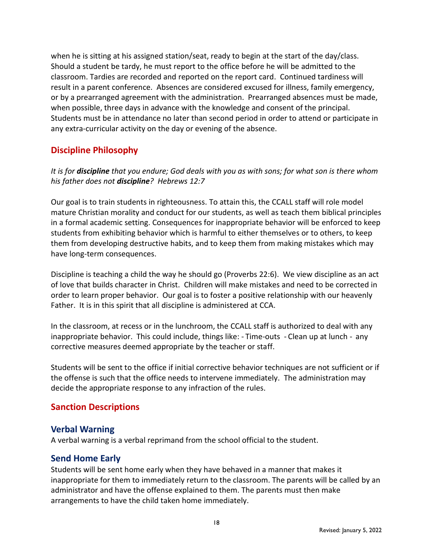when he is sitting at his assigned station/seat, ready to begin at the start of the day/class. Should a student be tardy, he must report to the office before he will be admitted to the classroom. Tardies are recorded and reported on the report card. Continued tardiness will result in a parent conference. Absences are considered excused for illness, family emergency, or by a prearranged agreement with the administration. Prearranged absences must be made, when possible, three days in advance with the knowledge and consent of the principal. Students must be in attendance no later than second period in order to attend or participate in any extra-curricular activity on the day or evening of the absence.

### **Discipline Philosophy**

*It is for discipline that you endure; God deals with you as with sons; for what son is there whom his father does not discipline? Hebrews 12:7*

Our goal is to train students in righteousness. To attain this, the CCALL staff will role model mature Christian morality and conduct for our students, as well as teach them biblical principles in a formal academic setting. Consequences for inappropriate behavior will be enforced to keep students from exhibiting behavior which is harmful to either themselves or to others, to keep them from developing destructive habits, and to keep them from making mistakes which may have long-term consequences.

Discipline is teaching a child the way he should go (Proverbs 22:6). We view discipline as an act of love that builds character in Christ. Children will make mistakes and need to be corrected in order to learn proper behavior. Our goal is to foster a positive relationship with our heavenly Father. It is in this spirit that all discipline is administered at CCA.

In the classroom, at recess or in the lunchroom, the CCALL staff is authorized to deal with any inappropriate behavior. This could include, things like: - Time-outs - Clean up at lunch - any corrective measures deemed appropriate by the teacher or staff.

Students will be sent to the office if initial corrective behavior techniques are not sufficient or if the offense is such that the office needs to intervene immediately. The administration may decide the appropriate response to any infraction of the rules.

#### **Sanction Descriptions**

#### **Verbal Warning**

A verbal warning is a verbal reprimand from the school official to the student.

#### **Send Home Early**

Students will be sent home early when they have behaved in a manner that makes it inappropriate for them to immediately return to the classroom. The parents will be called by an administrator and have the offense explained to them. The parents must then make arrangements to have the child taken home immediately.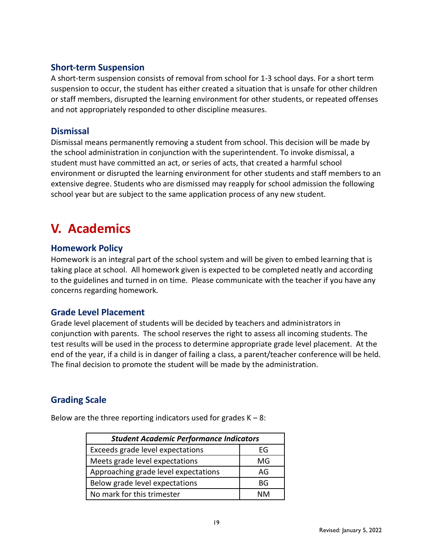#### **Short-term Suspension**

A short-term suspension consists of removal from school for 1-3 school days. For a short term suspension to occur, the student has either created a situation that is unsafe for other children or staff members, disrupted the learning environment for other students, or repeated offenses and not appropriately responded to other discipline measures.

#### **Dismissal**

Dismissal means permanently removing a student from school. This decision will be made by the school administration in conjunction with the superintendent. To invoke dismissal, a student must have committed an act, or series of acts, that created a harmful school environment or disrupted the learning environment for other students and staff members to an extensive degree. Students who are dismissed may reapply for school admission the following school year but are subject to the same application process of any new student.

# **V. Academics**

#### **Homework Policy**

Homework is an integral part of the school system and will be given to embed learning that is taking place at school. All homework given is expected to be completed neatly and according to the guidelines and turned in on time. Please communicate with the teacher if you have any concerns regarding homework.

#### **Grade Level Placement**

Grade level placement of students will be decided by teachers and administrators in conjunction with parents. The school reserves the right to assess all incoming students. The test results will be used in the process to determine appropriate grade level placement. At the end of the year, if a child is in danger of failing a class, a parent/teacher conference will be held. The final decision to promote the student will be made by the administration.

# **Grading Scale**

| <b>Student Academic Performance Indicators</b> |      |  |
|------------------------------------------------|------|--|
| Exceeds grade level expectations               | FG   |  |
| Meets grade level expectations                 | MG   |  |
| Approaching grade level expectations           | AG   |  |
| Below grade level expectations                 | ВG   |  |
| No mark for this trimester                     | ៱៲៱៸ |  |

Below are the three reporting indicators used for grades  $K - 8$ :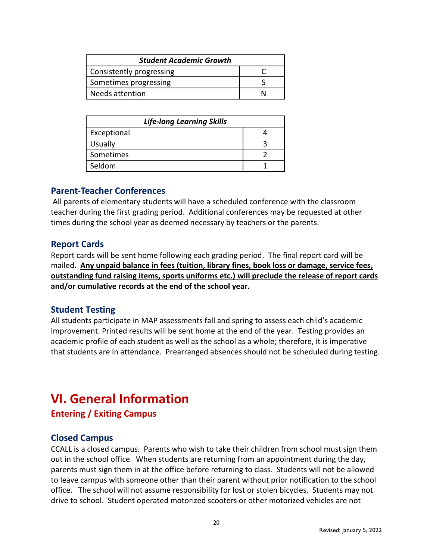| <b>Student Academic Growth</b> |  |  |
|--------------------------------|--|--|
| Consistently progressing       |  |  |
| Sometimes progressing          |  |  |
| Needs attention                |  |  |

| <b>Life-long Learning Skills</b> |  |  |
|----------------------------------|--|--|
| Exceptional                      |  |  |
| <b>Usually</b>                   |  |  |
| Sometimes                        |  |  |
| Seldom                           |  |  |

#### **Parent-Teacher Conferences**

All parents of elementary students will have a scheduled conference with the classroom teacher during the first grading period. Additional conferences may be requested at other times during the school year as deemed necessary by teachers or the parents.

#### **Report Cards**

Report cards will be sent home following each grading period. The final report card will be mailed. **Any unpaid balance in fees (tuition, library fines, book loss or damage, service fees, outstanding fund raising items, sports uniforms etc.) will preclude the release of report cards and/or cumulative records at the end of the school year.**

#### **Student Testing**

All students participate in MAP assessments fall and spring to assess each child's academic improvement. Printed results will be sent home at the end of the year. Testing provides an academic profile of each student as well as the school as a whole; therefore, it is imperative that students are in attendance. Prearranged absences should not be scheduled during testing.

# **VI. General Information**

**Entering / Exiting Campus**

#### **Closed Campus**

CCALL is a closed campus. Parents who wish to take their children from school must sign them out in the school office. When students are returning from an appointment during the day, parents must sign them in at the office before returning to class. Students will not be allowed to leave campus with someone other than their parent without prior notification to the school office. The school will not assume responsibility for lost or stolen bicycles. Students may not drive to school. Student operated motorized scooters or other motorized vehicles are not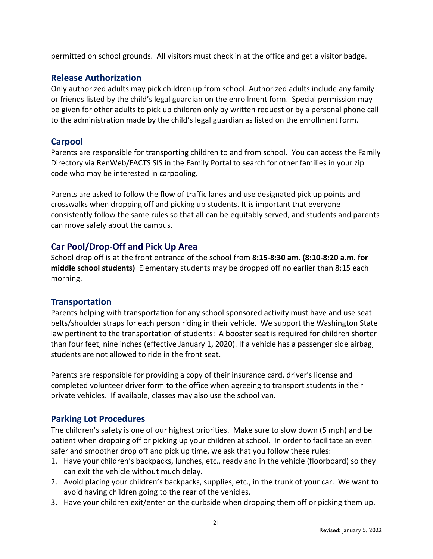permitted on school grounds. All visitors must check in at the office and get a visitor badge.

## **Release Authorization**

Only authorized adults may pick children up from school. Authorized adults include any family or friends listed by the child's legal guardian on the enrollment form. Special permission may be given for other adults to pick up children only by written request or by a personal phone call to the administration made by the child's legal guardian as listed on the enrollment form.

### **Carpool**

Parents are responsible for transporting children to and from school. You can access the Family Directory via RenWeb/FACTS SIS in the Family Portal to search for other families in your zip code who may be interested in carpooling.

Parents are asked to follow the flow of traffic lanes and use designated pick up points and crosswalks when dropping off and picking up students. It is important that everyone consistently follow the same rules so that all can be equitably served, and students and parents can move safely about the campus.

# **Car Pool/Drop-Off and Pick Up Area**

School drop off is at the front entrance of the school from **8:15-8:30 am. (8:10-8:20 a.m. for middle school students)** Elementary students may be dropped off no earlier than 8:15 each morning.

#### **Transportation**

Parents helping with transportation for any school sponsored activity must have and use seat belts/shoulder straps for each person riding in their vehicle. We support the Washington State law pertinent to the transportation of students: A booster seat is required for children shorter than four feet, nine inches (effective January 1, 2020). If a vehicle has a passenger side airbag, students are not allowed to ride in the front seat.

Parents are responsible for providing a copy of their insurance card, driver's license and completed volunteer driver form to the office when agreeing to transport students in their private vehicles. If available, classes may also use the school van.

# **Parking Lot Procedures**

The children's safety is one of our highest priorities. Make sure to slow down (5 mph) and be patient when dropping off or picking up your children at school. In order to facilitate an even safer and smoother drop off and pick up time, we ask that you follow these rules:

- 1. Have your children's backpacks, lunches, etc., ready and in the vehicle (floorboard) so they can exit the vehicle without much delay.
- 2. Avoid placing your children's backpacks, supplies, etc., in the trunk of your car. We want to avoid having children going to the rear of the vehicles.
- 3. Have your children exit/enter on the curbside when dropping them off or picking them up.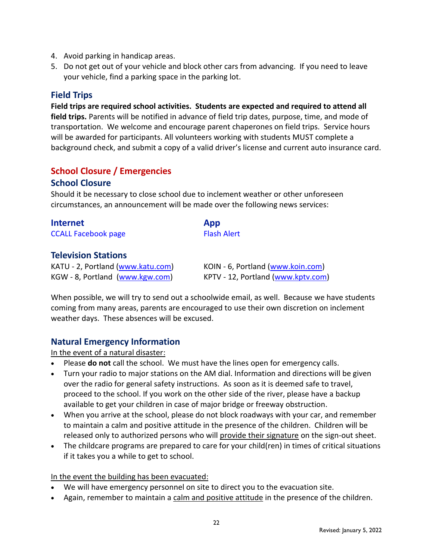- 4. Avoid parking in handicap areas.
- 5. Do not get out of your vehicle and block other cars from advancing. If you need to leave your vehicle, find a parking space in the parking lot.

### **Field Trips**

**Field trips are required school activities. Students are expected and required to attend all field trips.** Parents will be notified in advance of field trip dates, purpose, time, and mode of transportation. We welcome and encourage parent chaperones on field trips. Service hours will be awarded for participants. All volunteers working with students MUST complete a background check, and submit a copy of a valid driver's license and current auto insurance card.

# **School Closure / Emergencies**

#### **School Closure**

Should it be necessary to close school due to inclement weather or other unforeseen circumstances, an announcement will be made over the following news services:

| <b>Internet</b>            | App                |
|----------------------------|--------------------|
| <b>CCALL Facebook page</b> | <b>Flash Alert</b> |

#### **Television Stations**

KATU - 2, Portland [\(www.katu.com\)](http://www.katu.com/) KOIN - 6, Portland [\(www.koin.com\)](http://www.koin.com/) KGW - 8, Portland [\(www.kgw.com\)](http://www.kgw.com/) KPTV - 12, Portland [\(www.kptv.com\)](http://www.kptv.com/)

When possible, we will try to send out a schoolwide email, as well. Because we have students coming from many areas, parents are encouraged to use their own discretion on inclement weather days. These absences will be excused.

#### **Natural Emergency Information**

In the event of a natural disaster:

- Please **do not** call the school. We must have the lines open for emergency calls.
- Turn your radio to major stations on the AM dial. Information and directions will be given over the radio for general safety instructions. As soon as it is deemed safe to travel, proceed to the school. If you work on the other side of the river, please have a backup available to get your children in case of major bridge or freeway obstruction.
- When you arrive at the school, please do not block roadways with your car, and remember to maintain a calm and positive attitude in the presence of the children. Children will be released only to authorized persons who will provide their signature on the sign-out sheet.
- The childcare programs are prepared to care for your child(ren) in times of critical situations if it takes you a while to get to school.

In the event the building has been evacuated:

- We will have emergency personnel on site to direct you to the evacuation site.
- Again, remember to maintain a calm and positive attitude in the presence of the children.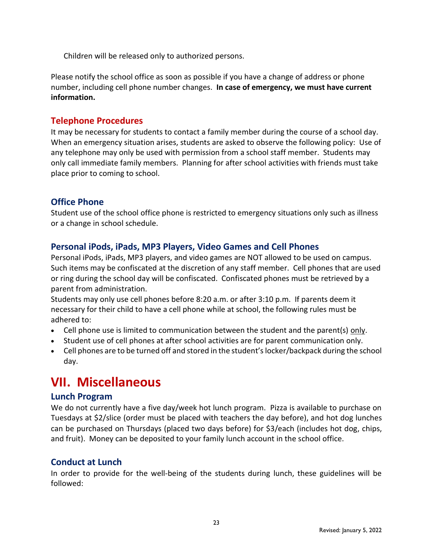Children will be released only to authorized persons.

Please notify the school office as soon as possible if you have a change of address or phone number, including cell phone number changes. **In case of emergency, we must have current information.**

#### **Telephone Procedures**

It may be necessary for students to contact a family member during the course of a school day. When an emergency situation arises, students are asked to observe the following policy: Use of any telephone may only be used with permission from a school staff member. Students may only call immediate family members. Planning for after school activities with friends must take place prior to coming to school.

#### **Office Phone**

Student use of the school office phone is restricted to emergency situations only such as illness or a change in school schedule.

#### **Personal iPods, iPads, MP3 Players, Video Games and Cell Phones**

Personal iPods, iPads, MP3 players, and video games are NOT allowed to be used on campus. Such items may be confiscated at the discretion of any staff member. Cell phones that are used or ring during the school day will be confiscated. Confiscated phones must be retrieved by a parent from administration.

Students may only use cell phones before 8:20 a.m. or after 3:10 p.m. If parents deem it necessary for their child to have a cell phone while at school, the following rules must be adhered to:

- Cell phone use is limited to communication between the student and the parent(s) only.
- Student use of cell phones at after school activities are for parent communication only.
- Cell phones are to be turned off and stored in the student's locker/backpack during the school day.

# **VII. Miscellaneous**

#### **Lunch Program**

We do not currently have a five day/week hot lunch program. Pizza is available to purchase on Tuesdays at \$2/slice (order must be placed with teachers the day before), and hot dog lunches can be purchased on Thursdays (placed two days before) for \$3/each (includes hot dog, chips, and fruit). Money can be deposited to your family lunch account in the school office.

#### **Conduct at Lunch**

In order to provide for the well-being of the students during lunch, these guidelines will be followed: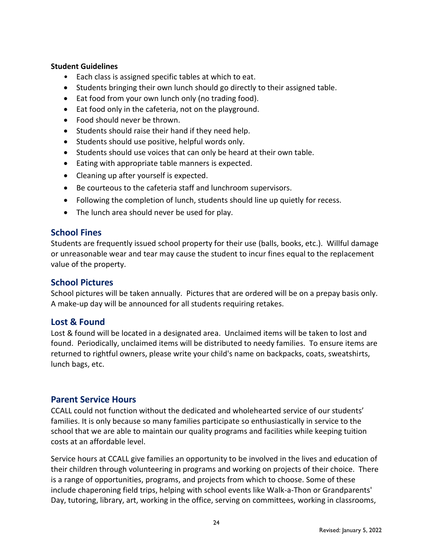#### **Student Guidelines**

- Each class is assigned specific tables at which to eat.
- Students bringing their own lunch should go directly to their assigned table.
- Eat food from your own lunch only (no trading food).
- Eat food only in the cafeteria, not on the playground.
- Food should never be thrown.
- Students should raise their hand if they need help.
- Students should use positive, helpful words only.
- Students should use voices that can only be heard at their own table.
- Eating with appropriate table manners is expected.
- Cleaning up after yourself is expected.
- Be courteous to the cafeteria staff and lunchroom supervisors.
- Following the completion of lunch, students should line up quietly for recess.
- The lunch area should never be used for play.

#### **School Fines**

Students are frequently issued school property for their use (balls, books, etc.). Willful damage or unreasonable wear and tear may cause the student to incur fines equal to the replacement value of the property.

#### **School Pictures**

School pictures will be taken annually. Pictures that are ordered will be on a prepay basis only. A make-up day will be announced for all students requiring retakes.

#### **Lost & Found**

Lost & found will be located in a designated area. Unclaimed items will be taken to lost and found. Periodically, unclaimed items will be distributed to needy families. To ensure items are returned to rightful owners, please write your child's name on backpacks, coats, sweatshirts, lunch bags, etc.

#### **Parent Service Hours**

CCALL could not function without the dedicated and wholehearted service of our students' families. It is only because so many families participate so enthusiastically in service to the school that we are able to maintain our quality programs and facilities while keeping tuition costs at an affordable level.

Service hours at CCALL give families an opportunity to be involved in the lives and education of their children through volunteering in programs and working on projects of their choice. There is a range of opportunities, programs, and projects from which to choose. Some of these include chaperoning field trips, helping with school events like Walk-a-Thon or Grandparents' Day, tutoring, library, art, working in the office, serving on committees, working in classrooms,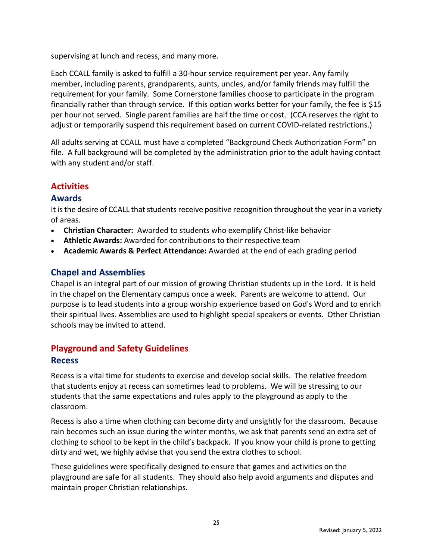supervising at lunch and recess, and many more.

Each CCALL family is asked to fulfill a 30-hour service requirement per year. Any family member, including parents, grandparents, aunts, uncles, and/or family friends may fulfill the requirement for your family. Some Cornerstone families choose to participate in the program financially rather than through service. If this option works better for your family, the fee is \$15 per hour not served. Single parent families are half the time or cost. (CCA reserves the right to adjust or temporarily suspend this requirement based on current COVID-related restrictions.)

All adults serving at CCALL must have a completed "Background Check Authorization Form" on file. A full background will be completed by the administration prior to the adult having contact with any student and/or staff.

#### **Activities**

#### **Awards**

It is the desire of CCALL that students receive positive recognition throughout the year in a variety of areas.

- **Christian Character:** Awarded to students who exemplify Christ-like behavior
- **Athletic Awards:** Awarded for contributions to their respective team
- **Academic Awards & Perfect Attendance:** Awarded at the end of each grading period

# **Chapel and Assemblies**

Chapel is an integral part of our mission of growing Christian students up in the Lord. It is held in the chapel on the Elementary campus once a week. Parents are welcome to attend. Our purpose is to lead students into a group worship experience based on God's Word and to enrich their spiritual lives. Assemblies are used to highlight special speakers or events. Other Christian schools may be invited to attend.

## **Playground and Safety Guidelines Recess**

Recess is a vital time for students to exercise and develop social skills. The relative freedom that students enjoy at recess can sometimes lead to problems. We will be stressing to our students that the same expectations and rules apply to the playground as apply to the classroom.

Recess is also a time when clothing can become dirty and unsightly for the classroom. Because rain becomes such an issue during the winter months, we ask that parents send an extra set of clothing to school to be kept in the child's backpack. If you know your child is prone to getting dirty and wet, we highly advise that you send the extra clothes to school.

These guidelines were specifically designed to ensure that games and activities on the playground are safe for all students. They should also help avoid arguments and disputes and maintain proper Christian relationships.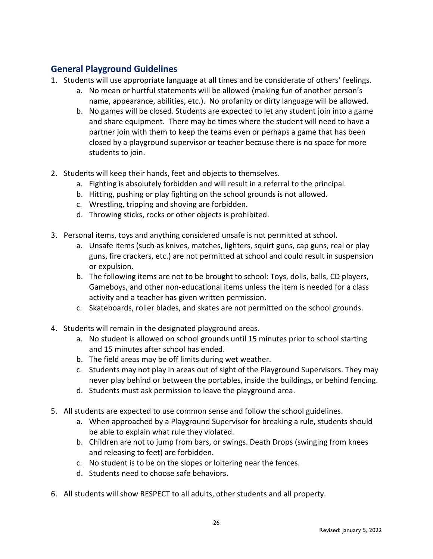# **General Playground Guidelines**

- 1. Students will use appropriate language at all times and be considerate of others' feelings.
	- a. No mean or hurtful statements will be allowed (making fun of another person's name, appearance, abilities, etc.). No profanity or dirty language will be allowed.
	- b. No games will be closed. Students are expected to let any student join into a game and share equipment. There may be times where the student will need to have a partner join with them to keep the teams even or perhaps a game that has been closed by a playground supervisor or teacher because there is no space for more students to join.
- 2. Students will keep their hands, feet and objects to themselves.
	- a. Fighting is absolutely forbidden and will result in a referral to the principal.
	- b. Hitting, pushing or play fighting on the school grounds is not allowed.
	- c. Wrestling, tripping and shoving are forbidden.
	- d. Throwing sticks, rocks or other objects is prohibited.
- 3. Personal items, toys and anything considered unsafe is not permitted at school.
	- a. Unsafe items (such as knives, matches, lighters, squirt guns, cap guns, real or play guns, fire crackers, etc.) are not permitted at school and could result in suspension or expulsion.
	- b. The following items are not to be brought to school: Toys, dolls, balls, CD players, Gameboys, and other non-educational items unless the item is needed for a class activity and a teacher has given written permission.
	- c. Skateboards, roller blades, and skates are not permitted on the school grounds.
- 4. Students will remain in the designated playground areas.
	- a. No student is allowed on school grounds until 15 minutes prior to school starting and 15 minutes after school has ended.
	- b. The field areas may be off limits during wet weather.
	- c. Students may not play in areas out of sight of the Playground Supervisors. They may never play behind or between the portables, inside the buildings, or behind fencing.
	- d. Students must ask permission to leave the playground area.
- 5. All students are expected to use common sense and follow the school guidelines.
	- a. When approached by a Playground Supervisor for breaking a rule, students should be able to explain what rule they violated.
	- b. Children are not to jump from bars, or swings. Death Drops (swinging from knees and releasing to feet) are forbidden.
	- c. No student is to be on the slopes or loitering near the fences.
	- d. Students need to choose safe behaviors.
- 6. All students will show RESPECT to all adults, other students and all property.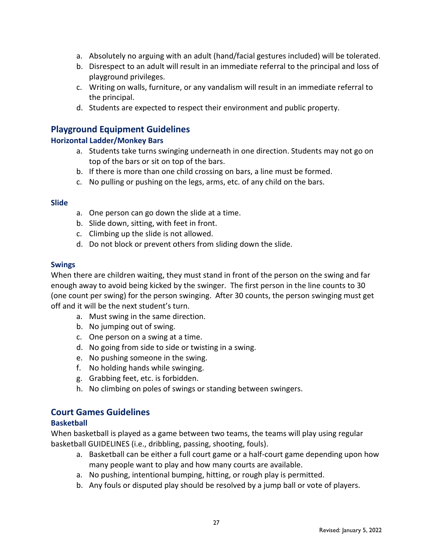- a. Absolutely no arguing with an adult (hand/facial gestures included) will be tolerated.
- b. Disrespect to an adult will result in an immediate referral to the principal and loss of playground privileges.
- c. Writing on walls, furniture, or any vandalism will result in an immediate referral to the principal.
- d. Students are expected to respect their environment and public property.

### **Playground Equipment Guidelines**

#### **Horizontal Ladder/Monkey Bars**

- a. Students take turns swinging underneath in one direction. Students may not go on top of the bars or sit on top of the bars.
- b. If there is more than one child crossing on bars, a line must be formed.
- c. No pulling or pushing on the legs, arms, etc. of any child on the bars.

#### **Slide**

- a. One person can go down the slide at a time.
- b. Slide down, sitting, with feet in front.
- c. Climbing up the slide is not allowed.
- d. Do not block or prevent others from sliding down the slide.

#### **Swings**

When there are children waiting, they must stand in front of the person on the swing and far enough away to avoid being kicked by the swinger. The first person in the line counts to 30 (one count per swing) for the person swinging. After 30 counts, the person swinging must get off and it will be the next student's turn.

- a. Must swing in the same direction.
- b. No jumping out of swing.
- c. One person on a swing at a time.
- d. No going from side to side or twisting in a swing.
- e. No pushing someone in the swing.
- f. No holding hands while swinging.
- g. Grabbing feet, etc. is forbidden.
- h. No climbing on poles of swings or standing between swingers.

#### **Court Games Guidelines**

#### **Basketball**

When basketball is played as a game between two teams, the teams will play using regular basketball GUIDELINES (i.e., dribbling, passing, shooting, fouls).

- a. Basketball can be either a full court game or a half-court game depending upon how many people want to play and how many courts are available.
- a. No pushing, intentional bumping, hitting, or rough play is permitted.
- b. Any fouls or disputed play should be resolved by a jump ball or vote of players.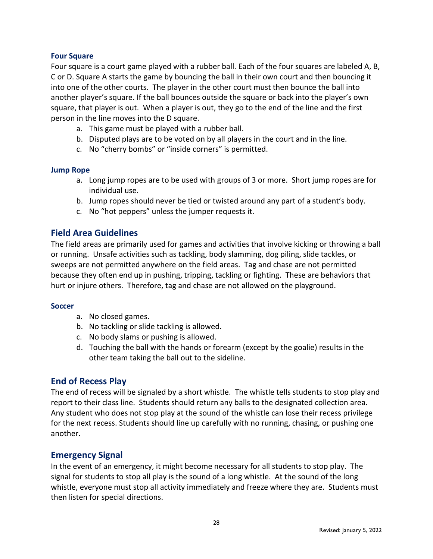#### **Four Square**

Four square is a court game played with a rubber ball. Each of the four squares are labeled A, B, C or D. Square A starts the game by bouncing the ball in their own court and then bouncing it into one of the other courts. The player in the other court must then bounce the ball into another player's square. If the ball bounces outside the square or back into the player's own square, that player is out. When a player is out, they go to the end of the line and the first person in the line moves into the D square.

- a. This game must be played with a rubber ball.
- b. Disputed plays are to be voted on by all players in the court and in the line.
- c. No "cherry bombs" or "inside corners" is permitted.

#### **Jump Rope**

- a. Long jump ropes are to be used with groups of 3 or more. Short jump ropes are for individual use.
- b. Jump ropes should never be tied or twisted around any part of a student's body.
- c. No "hot peppers" unless the jumper requests it.

#### **Field Area Guidelines**

The field areas are primarily used for games and activities that involve kicking or throwing a ball or running. Unsafe activities such as tackling, body slamming, dog piling, slide tackles, or sweeps are not permitted anywhere on the field areas. Tag and chase are not permitted because they often end up in pushing, tripping, tackling or fighting. These are behaviors that hurt or injure others. Therefore, tag and chase are not allowed on the playground.

#### **Soccer**

- a. No closed games.
- b. No tackling or slide tackling is allowed.
- c. No body slams or pushing is allowed.
- d. Touching the ball with the hands or forearm (except by the goalie) results in the other team taking the ball out to the sideline.

#### **End of Recess Play**

The end of recess will be signaled by a short whistle. The whistle tells students to stop play and report to their class line. Students should return any balls to the designated collection area. Any student who does not stop play at the sound of the whistle can lose their recess privilege for the next recess. Students should line up carefully with no running, chasing, or pushing one another.

#### **Emergency Signal**

In the event of an emergency, it might become necessary for all students to stop play. The signal for students to stop all play is the sound of a long whistle. At the sound of the long whistle, everyone must stop all activity immediately and freeze where they are. Students must then listen for special directions.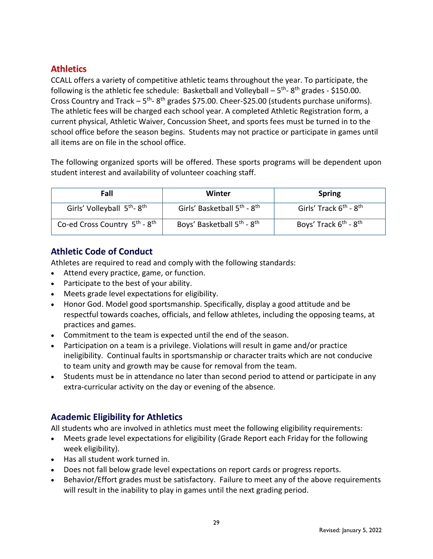# **Athletics**

CCALL offers a variety of competitive athletic teams throughout the year. To participate, the following is the athletic fee schedule: Basketball and Volleyball  $-5$ <sup>th</sup>-8<sup>th</sup> grades - \$150.00. Cross Country and Track  $-5$ <sup>th</sup>-8<sup>th</sup> grades \$75.00. Cheer-\$25.00 (students purchase uniforms). The athletic fees will be charged each school year. A completed Athletic Registration form, a current physical, Athletic Waiver, Concussion Sheet, and sports fees must be turned in to the school office before the season begins. Students may not practice or participate in games until all items are on file in the school office.

The following organized sports will be offered. These sports programs will be dependent upon student interest and availability of volunteer coaching staff.

| Fall                                                  | Winter                                              | <b>Spring</b>                                  |
|-------------------------------------------------------|-----------------------------------------------------|------------------------------------------------|
| Girls' Volleyball 5 <sup>th</sup> -8 <sup>th</sup>    | Girls' Basketball 5 <sup>th</sup> - 8 <sup>th</sup> | Girls' Track 6 <sup>th</sup> - 8 <sup>th</sup> |
| Co-ed Cross Country 5 <sup>th</sup> - 8 <sup>th</sup> | Boys' Basketball 5 <sup>th</sup> - 8 <sup>th</sup>  | Boys' Track 6 <sup>th</sup> - 8 <sup>th</sup>  |

# **Athletic Code of Conduct**

Athletes are required to read and comply with the following standards:

- Attend every practice, game, or function.
- Participate to the best of your ability.
- Meets grade level expectations for eligibility.
- Honor God. Model good sportsmanship. Specifically, display a good attitude and be respectful towards coaches, officials, and fellow athletes, including the opposing teams, at practices and games.
- Commitment to the team is expected until the end of the season.
- Participation on a team is a privilege. Violations will result in game and/or practice ineligibility. Continual faults in sportsmanship or character traits which are not conducive to team unity and growth may be cause for removal from the team.
- Students must be in attendance no later than second period to attend or participate in any extra-curricular activity on the day or evening of the absence.

# **Academic Eligibility for Athletics**

All students who are involved in athletics must meet the following eligibility requirements:

- Meets grade level expectations for eligibility (Grade Report each Friday for the following week eligibility).
- Has all student work turned in.
- Does not fall below grade level expectations on report cards or progress reports.
- Behavior/Effort grades must be satisfactory. Failure to meet any of the above requirements will result in the inability to play in games until the next grading period.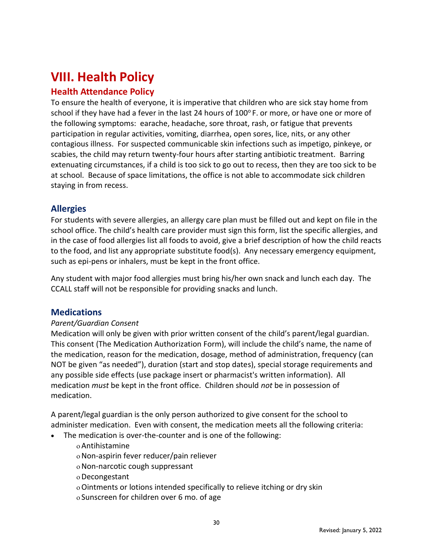# **VIII. Health Policy**

# **Health Attendance Policy**

To ensure the health of everyone, it is imperative that children who are sick stay home from school if they have had a fever in the last 24 hours of  $100^{\circ}$  F. or more, or have one or more of the following symptoms: earache, headache, sore throat, rash, or fatigue that prevents participation in regular activities, vomiting, diarrhea, open sores, lice, nits, or any other contagious illness. For suspected communicable skin infections such as impetigo, pinkeye, or scabies, the child may return twenty-four hours after starting antibiotic treatment. Barring extenuating circumstances, if a child is too sick to go out to recess, then they are too sick to be at school. Because of space limitations, the office is not able to accommodate sick children staying in from recess.

### **Allergies**

For students with severe allergies, an allergy care plan must be filled out and kept on file in the school office. The child's health care provider must sign this form, list the specific allergies, and in the case of food allergies list all foods to avoid, give a brief description of how the child reacts to the food, and list any appropriate substitute food(s). Any necessary emergency equipment, such as epi-pens or inhalers, must be kept in the front office.

Any student with major food allergies must bring his/her own snack and lunch each day. The CCALL staff will not be responsible for providing snacks and lunch.

#### **Medications**

#### *Parent/Guardian Consent*

Medication will only be given with prior written consent of the child's parent/legal guardian. This consent (The Medication Authorization Form), will include the child's name, the name of the medication, reason for the medication, dosage, method of administration, frequency (can NOT be given "as needed"), duration (start and stop dates), special storage requirements and any possible side effects (use package insert or pharmacist's written information). All medication *must* be kept in the front office. Children should *not* be in possession of medication.

A parent/legal guardian is the only person authorized to give consent for the school to administer medication. Even with consent, the medication meets all the following criteria:

- The medication is over-the-counter and is one of the following:
	- Antihistamine

Non-aspirin fever reducer/pain reliever

- Non-narcotic cough suppressant
- Decongestant
- Ointments or lotions intended specifically to relieve itching or dry skin
- Sunscreen for children over 6 mo. of age